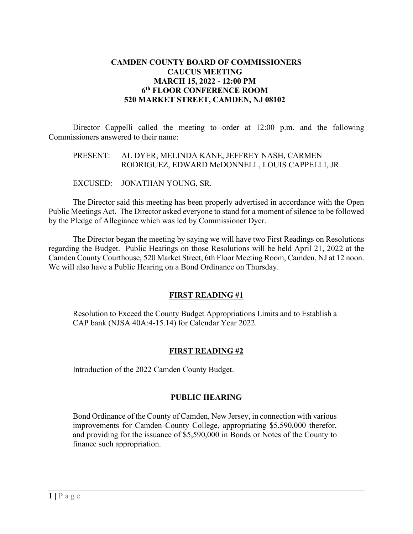## **CAMDEN COUNTY BOARD OF COMMISSIONERS CAUCUS MEETING MARCH 15, 2022 - 12:00 PM 6th FLOOR CONFERENCE ROOM 520 MARKET STREET, CAMDEN, NJ 08102**

Director Cappelli called the meeting to order at 12:00 p.m. and the following Commissioners answered to their name:

### PRESENT: AL DYER, MELINDA KANE, JEFFREY NASH, CARMEN RODRIGUEZ, EDWARD McDONNELL, LOUIS CAPPELLI, JR.

EXCUSED: JONATHAN YOUNG, SR.

The Director said this meeting has been properly advertised in accordance with the Open Public Meetings Act. The Director asked everyone to stand for a moment of silence to be followed by the Pledge of Allegiance which was led by Commissioner Dyer.

The Director began the meeting by saying we will have two First Readings on Resolutions regarding the Budget. Public Hearings on those Resolutions will be held April 21, 2022 at the Camden County Courthouse, 520 Market Street, 6th Floor Meeting Room, Camden, NJ at 12 noon. We will also have a Public Hearing on a Bond Ordinance on Thursday.

#### **FIRST READING #1**

Resolution to Exceed the County Budget Appropriations Limits and to Establish a CAP bank (NJSA 40A:4-15.14) for Calendar Year 2022.

#### **FIRST READING #2**

Introduction of the 2022 Camden County Budget.

#### **PUBLIC HEARING**

Bond Ordinance of the County of Camden, New Jersey, in connection with various improvements for Camden County College, appropriating \$5,590,000 therefor, and providing for the issuance of \$5,590,000 in Bonds or Notes of the County to finance such appropriation.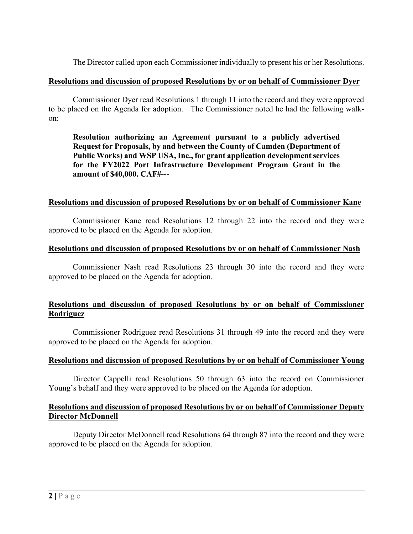The Director called upon each Commissioner individually to present his or her Resolutions.

#### **Resolutions and discussion of proposed Resolutions by or on behalf of Commissioner Dyer**

Commissioner Dyer read Resolutions 1 through 11 into the record and they were approved to be placed on the Agenda for adoption. The Commissioner noted he had the following walkon:

**Resolution authorizing an Agreement pursuant to a publicly advertised Request for Proposals, by and between the County of Camden (Department of Public Works) and WSP USA, Inc., for grant application development services for the FY2022 Port Infrastructure Development Program Grant in the amount of \$40,000. CAF#---**

## **Resolutions and discussion of proposed Resolutions by or on behalf of Commissioner Kane**

Commissioner Kane read Resolutions 12 through 22 into the record and they were approved to be placed on the Agenda for adoption.

#### **Resolutions and discussion of proposed Resolutions by or on behalf of Commissioner Nash**

Commissioner Nash read Resolutions 23 through 30 into the record and they were approved to be placed on the Agenda for adoption.

# **Resolutions and discussion of proposed Resolutions by or on behalf of Commissioner Rodriguez**

Commissioner Rodriguez read Resolutions 31 through 49 into the record and they were approved to be placed on the Agenda for adoption.

#### **Resolutions and discussion of proposed Resolutions by or on behalf of Commissioner Young**

Director Cappelli read Resolutions 50 through 63 into the record on Commissioner Young's behalf and they were approved to be placed on the Agenda for adoption.

## **Resolutions and discussion of proposed Resolutions by or on behalf of Commissioner Deputy Director McDonnell**

Deputy Director McDonnell read Resolutions 64 through 87 into the record and they were approved to be placed on the Agenda for adoption.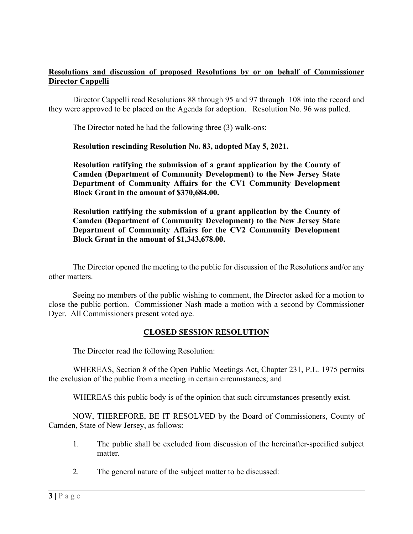## **Resolutions and discussion of proposed Resolutions by or on behalf of Commissioner Director Cappelli**

Director Cappelli read Resolutions 88 through 95 and 97 through 108 into the record and they were approved to be placed on the Agenda for adoption. Resolution No. 96 was pulled.

The Director noted he had the following three (3) walk-ons:

## **Resolution rescinding Resolution No. 83, adopted May 5, 2021.**

**Resolution ratifying the submission of a grant application by the County of Camden (Department of Community Development) to the New Jersey State Department of Community Affairs for the CV1 Community Development Block Grant in the amount of \$370,684.00.**

**Resolution ratifying the submission of a grant application by the County of Camden (Department of Community Development) to the New Jersey State Department of Community Affairs for the CV2 Community Development Block Grant in the amount of \$1,343,678.00.**

The Director opened the meeting to the public for discussion of the Resolutions and/or any other matters.

Seeing no members of the public wishing to comment, the Director asked for a motion to close the public portion. Commissioner Nash made a motion with a second by Commissioner Dyer. All Commissioners present voted aye.

## **CLOSED SESSION RESOLUTION**

The Director read the following Resolution:

WHEREAS, Section 8 of the Open Public Meetings Act, Chapter 231, P.L. 1975 permits the exclusion of the public from a meeting in certain circumstances; and

WHEREAS this public body is of the opinion that such circumstances presently exist.

NOW, THEREFORE, BE IT RESOLVED by the Board of Commissioners, County of Camden, State of New Jersey, as follows:

- 1. The public shall be excluded from discussion of the hereinafter-specified subject matter.
- 2. The general nature of the subject matter to be discussed: